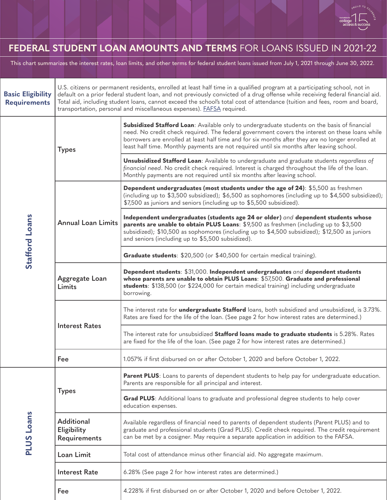

## **FEDERAL STUDENT LOAN AMOUNTS AND TERMS** FOR LOANS ISSUED IN 2021-22

This chart summarizes the interest rates, loan limits, and other terms for federal student loans issued from July 1, 2021 through June 30, 2022.

| <b>Basic Eligibility</b><br><b>Requirements</b> | U.S. citizens or permanent residents, enrolled at least half time in a qualified program at a participating school, not in<br>default on a prior federal student loan, and not previously convicted of a drug offense while receiving federal financial aid.<br>Total aid, including student loans, cannot exceed the school's total cost of attendance (tuition and fees, room and board,<br>transportation, personal and miscellaneous expenses). <b>FAFSA</b> required. |                                                                                                                                                                                                                                                                                                                                                                                                   |  |
|-------------------------------------------------|----------------------------------------------------------------------------------------------------------------------------------------------------------------------------------------------------------------------------------------------------------------------------------------------------------------------------------------------------------------------------------------------------------------------------------------------------------------------------|---------------------------------------------------------------------------------------------------------------------------------------------------------------------------------------------------------------------------------------------------------------------------------------------------------------------------------------------------------------------------------------------------|--|
| Stafford Loans                                  | <b>Types</b>                                                                                                                                                                                                                                                                                                                                                                                                                                                               | Subsidized Stafford Loan: Available only to undergraduate students on the basis of financial<br>need. No credit check required. The federal government covers the interest on these loans while<br>borrowers are enrolled at least half time and for six months after they are no longer enrolled at<br>least half time. Monthly payments are not required until six months after leaving school. |  |
|                                                 |                                                                                                                                                                                                                                                                                                                                                                                                                                                                            | <b>Unsubsidized Stafford Loan:</b> Available to undergraduate and graduate students regardless of<br>financial need. No credit check required. Interest is charged throughout the life of the loan.<br>Monthly payments are not required until six months after leaving school.                                                                                                                   |  |
|                                                 | <b>Annual Loan Limits</b>                                                                                                                                                                                                                                                                                                                                                                                                                                                  | Dependent undergraduates (most students under the age of 24): \$5,500 as freshmen<br>(including up to \$3,500 subsidized); \$6,500 as sophomores (including up to \$4,500 subsidized);<br>\$7,500 as juniors and seniors (including up to \$5,500 subsidized).                                                                                                                                    |  |
|                                                 |                                                                                                                                                                                                                                                                                                                                                                                                                                                                            | Independent undergraduates (students age 24 or older) and dependent students whose<br>parents are unable to obtain PLUS Loans: \$9,500 as freshmen (including up to \$3,500<br>subsidized); \$10,500 as sophomores (including up to \$4,500 subsidized); \$12,500 as juniors<br>and seniors (including up to \$5,500 subsidized).                                                                 |  |
|                                                 |                                                                                                                                                                                                                                                                                                                                                                                                                                                                            | Graduate students: \$20,500 (or \$40,500 for certain medical training).                                                                                                                                                                                                                                                                                                                           |  |
|                                                 | Aggregate Loan<br>Limits                                                                                                                                                                                                                                                                                                                                                                                                                                                   | Dependent students: \$31,000. Independent undergraduates and dependent students<br>whose parents are unable to obtain PLUS Loans: \$57,500. Graduate and professional<br>students: \$138,500 (or \$224,000 for certain medical training) including undergraduate<br>borrowing.                                                                                                                    |  |
|                                                 | <b>Interest Rates</b>                                                                                                                                                                                                                                                                                                                                                                                                                                                      | The interest rate for <i>undergraduate Stafford</i> loans, both subsidized and unsubsidized, is 3.73%.<br>Rates are fixed for the life of the loan. (See page 2 for how interest rates are determined.)                                                                                                                                                                                           |  |
|                                                 |                                                                                                                                                                                                                                                                                                                                                                                                                                                                            | The interest rate for unsubsidized Stafford loans made to graduate students is 5.28%. Rates<br>are fixed for the life of the loan. (See page 2 for how interest rates are determined.)                                                                                                                                                                                                            |  |
|                                                 | Fee                                                                                                                                                                                                                                                                                                                                                                                                                                                                        | 1.057% if first disbursed on or after October 1, 2020 and before October 1, 2022.                                                                                                                                                                                                                                                                                                                 |  |
| <b>PLUS Loans</b>                               | <b>Types</b>                                                                                                                                                                                                                                                                                                                                                                                                                                                               | Parent PLUS: Loans to parents of dependent students to help pay for undergraduate education.<br>Parents are responsible for all principal and interest.                                                                                                                                                                                                                                           |  |
|                                                 |                                                                                                                                                                                                                                                                                                                                                                                                                                                                            | Grad PLUS: Additional loans to graduate and professional degree students to help cover<br>education expenses.                                                                                                                                                                                                                                                                                     |  |
|                                                 | <b>Additional</b><br>Eligibility<br>Requirements                                                                                                                                                                                                                                                                                                                                                                                                                           | Available regardless of financial need to parents of dependent students (Parent PLUS) and to<br>graduate and professional students (Grad PLUS). Credit check required. The credit requirement<br>can be met by a cosigner. May require a separate application in addition to the FAFSA.                                                                                                           |  |
|                                                 | Loan Limit                                                                                                                                                                                                                                                                                                                                                                                                                                                                 | Total cost of attendance minus other financial aid. No aggregate maximum.                                                                                                                                                                                                                                                                                                                         |  |
|                                                 | <b>Interest Rate</b>                                                                                                                                                                                                                                                                                                                                                                                                                                                       | 6.28% (See page 2 for how interest rates are determined.)                                                                                                                                                                                                                                                                                                                                         |  |
|                                                 | Fee                                                                                                                                                                                                                                                                                                                                                                                                                                                                        | 4.228% if first disbursed on or after October 1, 2020 and before October 1, 2022.                                                                                                                                                                                                                                                                                                                 |  |